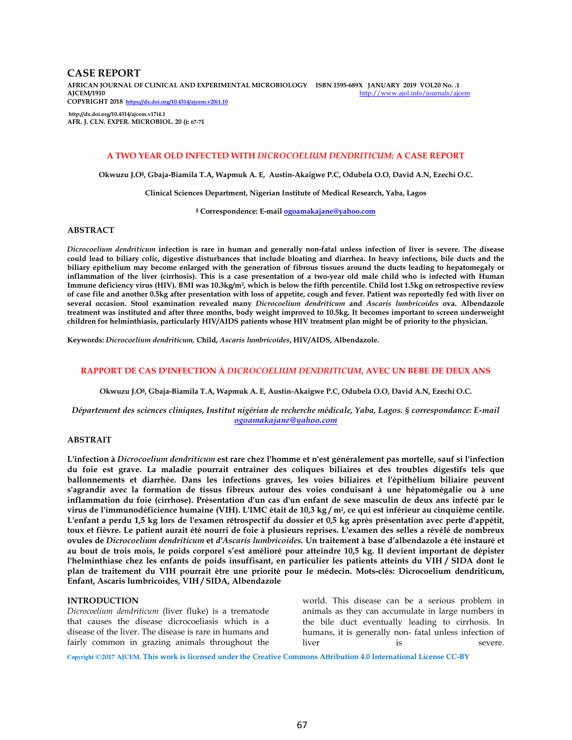## **CASE REPORT**

**AFRICAN JOURNAL OF CLINICAL AND EXPERIMENTAL MICROBIOLOGY ISBN 1595-689X JANUARY 2019 VOL20 No. .1**  http://www.ajol.info/journals/ajcem **COPYRIGHT 2018 https://dx.doi.org/10.4314/ajcem.v20i1.10** 

**http://dx.doi.org/10.4314/ajcem.v17i4.1 AFR. J. CLN. EXPER. MICROBIOL. 20 (): 67-71**

### **A TWO YEAR OLD INFECTED WITH** *DICROCOELIUM DENDRITICUM***: A CASE REPORT**

**Okwuzu J.O§ , Gbaja-Biamila T.A, Wapmuk A. E, Austin-Akaigwe P.C, Odubela O.O, David A.N, Ezechi O.C.** 

**Clinical Sciences Department, Nigerian Institute of Medical Research, Yaba, Lagos** 

**§ Correspondence: E-mail ogoamakajane@yahoo.com**

## **ABSTRACT**

*Dicrocoelium dendriticum* **infection is rare in human and generally non-fatal unless infection of liver is severe. The disease could lead to biliary colic, digestive disturbances that include bloating and diarrhea. In heavy infections, bile ducts and the biliary epithelium may become enlarged with the generation of fibrous tissues around the ducts leading to hepatomegaly or inflammation of the liver (cirrhosis). This is a case presentation of a two-year old male child who is infected with Human**  Immune deficiency virus (HIV). BMI was 10.3kg/m², which is below the fifth percentile. Child lost 1.5kg on retrospective review **of case file and another 0.5kg after presentation with loss of appetite, cough and fever. Patient was reportedly fed with liver on several occasion. Stool examination revealed many** *Dicrocoelium dendriticum* **and** *Ascaris lumbricoides* **ova. Albendazole treatment was instituted and after three months, body weight improved to 10.5kg. It becomes important to screen underweight children for helminthiasis, particularly HIV/AIDS patients whose HIV treatment plan might be of priority to the physician.** 

**Keywords:** *Dicrocoelium dendriticum,* **Child,** *Ascaris lumbricoides***, HIV/AIDS, Albendazole.** 

## **RAPPORT DE CAS D'INFECTION À** *DICROCOELIUM DENDRITICUM***, AVEC UN BEBE DE DEUX ANS**

**Okwuzu J.O§ , Gbaja-Biamila T.A, Wapmuk A. E, Austin-Akaigwe P.C, Odubela O.O, David A.N, Ezechi O.C.**

*Département des sciences cliniques, Institut nigérian de recherche médicale, Yaba, Lagos. § correspondance: E-mail ogoamakajane@yahoo.com*

#### **ABSTRAIT**

**L'infection à** *Dicrocoelium dendriticum* **est rare chez l'homme et n'est généralement pas mortelle, sauf si l'infection du foie est grave. La maladie pourrait entraîner des coliques biliaires et des troubles digestifs tels que ballonnements et diarrhée. Dans les infections graves, les voies biliaires et l'épithélium biliaire peuvent s'agrandir avec la formation de tissus fibreux autour des voies conduisant à une hépatomégalie ou à une inflammation du foie (cirrhose). Présentation d'un cas d'un enfant de sexe masculin de deux ans infecté par le virus de l'immunodéficience humaine (VIH). L'IMC était de 10,3 kg / m<sup>2</sup> , ce qui est inférieur au cinquième centile. L'enfant a perdu 1,5 kg lors de l'examen rétrospectif du dossier et 0,5 kg après présentation avec perte d'appétit, toux et fièvre. Le patient aurait été nourri de foie à plusieurs reprises. L'examen des selles a révélé de nombreux ovules de** *Dicrocoelium dendriticum* **et** *d'Ascaris lumbricoides.* **Un traitement à base d'albendazole a été instauré et au bout de trois mois, le poids corporel s'est amélioré pour atteindre 10,5 kg. Il devient important de dépister l'helminthiase chez les enfants de poids insuffisant, en particulier les patients atteints du VIH / SIDA dont le plan de traitement du VIH pourrait être une priorité pour le médecin. Mots-clés: Dicrocoelium dendriticum, Enfant, Ascaris lumbricoides, VIH / SIDA, Albendazole**

## **INTRODUCTION**

*Dicrocoelium dendriticum* (liver fluke) is a trematode that causes the disease dicrocoeliasis which is a disease of the liver. The disease is rare in humans and fairly common in grazing animals throughout the

world. This disease can be a serious problem in animals as they can accumulate in large numbers in the bile duct eventually leading to cirrhosis. In humans, it is generally non- fatal unless infection of liver is is severe.

**Copyright ©2017 AJCEM. This work is licensed under the Creative Commons Attribution 4.0 International License CC-BY**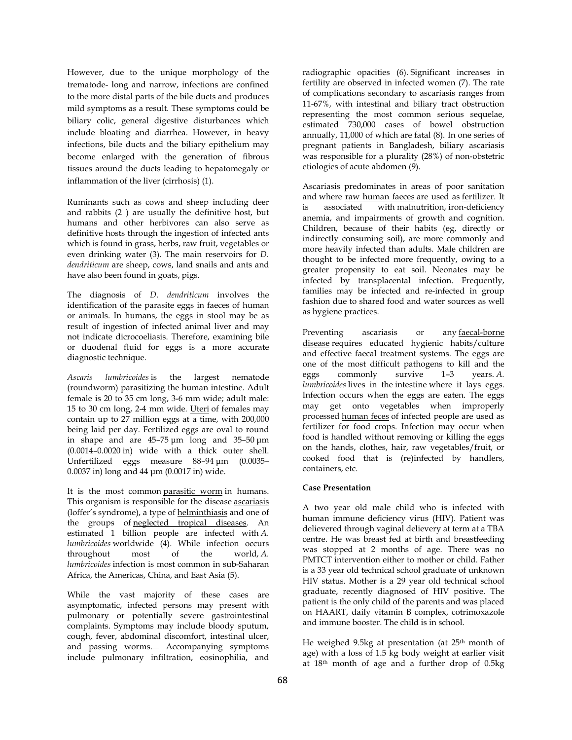However, due to the unique morphology of the trematode- long and narrow, infections are confined to the more distal parts of the bile ducts and produces mild symptoms as a result. These symptoms could be biliary colic, general digestive disturbances which include bloating and diarrhea. However, in heavy infections, bile ducts and the biliary epithelium may become enlarged with the generation of fibrous tissues around the ducts leading to hepatomegaly or inflammation of the liver (cirrhosis) (1).

Ruminants such as cows and sheep including deer and rabbits (2 ) are usually the definitive host, but humans and other herbivores can also serve as definitive hosts through the ingestion of infected ants which is found in grass, herbs, raw fruit, vegetables or even drinking water (3). The main reservoirs for *D. dendriticum* are sheep, cows, land snails and ants and have also been found in goats, pigs.

The diagnosis of *D. dendriticum* involves the identification of the parasite eggs in faeces of human or animals. In humans, the eggs in stool may be as result of ingestion of infected animal liver and may not indicate dicrocoeliasis. Therefore, examining bile or duodenal fluid for eggs is a more accurate diagnostic technique.

*Ascaris lumbricoides* is the largest nematode (roundworm) parasitizing the human intestine. Adult female is 20 to 35 cm long, 3-6 mm wide; adult male: 15 to 30 cm long, 2-4 mm wide. Uteri of females may contain up to 27 million eggs at a time, with 200,000 being laid per day. Fertilized eggs are oval to round in shape and are 45–75 µm long and 35–50 µm (0.0014–0.0020 in) wide with a thick outer shell. Unfertilized eggs measure 88–94 µm (0.0035– 0.0037 in) long and 44 µm (0.0017 in) wide.

It is the most common parasitic worm in humans. This organism is responsible for the disease ascariasis (loffer's syndrome), a type of helminthiasis and one of the groups of neglected tropical diseases. An estimated 1 billion people are infected with *A. lumbricoides* worldwide (4). While infection occurs throughout most of the world, *A. lumbricoides* infection is most common in sub-Saharan Africa, the Americas, China, and East Asia (5).

While the vast majority of these cases are asymptomatic, infected persons may present with pulmonary or potentially severe gastrointestinal complaints. Symptoms may include bloody sputum, cough, fever, abdominal discomfort, intestinal ulcer, and passing worms. Accompanying symptoms include pulmonary infiltration, eosinophilia, and radiographic opacities (6). Significant increases in fertility are observed in infected women (7). The rate of complications secondary to ascariasis ranges from 11-67%, with intestinal and biliary tract obstruction representing the most common serious sequelae, estimated 730,000 cases of bowel obstruction annually, 11,000 of which are fatal (8). In one series of pregnant patients in Bangladesh, biliary ascariasis was responsible for a plurality (28%) of non-obstetric etiologies of acute abdomen (9).

Ascariasis predominates in areas of poor sanitation and where raw human faeces are used as fertilizer. It is associated with malnutrition, iron-deficiency anemia, and impairments of growth and cognition. Children, because of their habits (eg, directly or indirectly consuming soil), are more commonly and more heavily infected than adults. Male children are thought to be infected more frequently, owing to a greater propensity to eat soil. Neonates may be infected by transplacental infection. Frequently, families may be infected and re-infected in group fashion due to shared food and water sources as well as hygiene practices.

Preventing ascariasis or any faecal-borne disease requires educated hygienic habits/culture and effective faecal treatment systems. The eggs are one of the most difficult pathogens to kill and the eggs commonly survive 1–3 years. *A. lumbricoides* lives in the intestine where it lays eggs. Infection occurs when the eggs are eaten. The eggs may get onto vegetables when improperly processed human feces of infected people are used as fertilizer for food crops. Infection may occur when food is handled without removing or killing the eggs on the hands, clothes, hair, raw vegetables/fruit, or cooked food that is (re)infected by handlers, containers, etc.

#### **Case Presentation**

A two year old male child who is infected with human immune deficiency virus (HIV). Patient was delievered through vaginal delievery at term at a TBA centre. He was breast fed at birth and breastfeeding was stopped at 2 months of age. There was no PMTCT intervention either to mother or child. Father is a 33 year old technical school graduate of unknown HIV status. Mother is a 29 year old technical school graduate, recently diagnosed of HIV positive. The patient is the only child of the parents and was placed on HAART, daily vitamin B complex, cotrimoxazole and immune booster. The child is in school.

He weighed 9.5kg at presentation (at 25<sup>th</sup> month of age) with a loss of 1.5 kg body weight at earlier visit at 18th month of age and a further drop of 0.5kg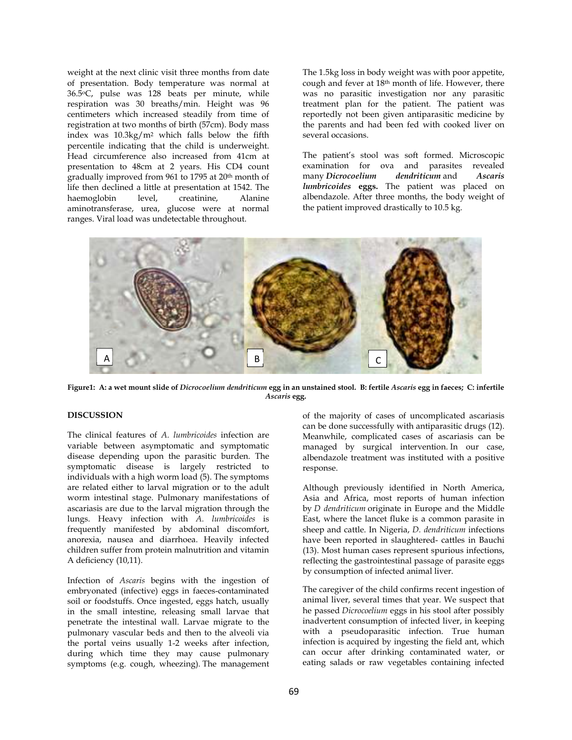weight at the next clinic visit three months from date of presentation. Body temperature was normal at 36.5oC, pulse was 128 beats per minute, while respiration was 30 breaths/min. Height was 96 centimeters which increased steadily from time of registration at two months of birth (57cm). Body mass index was 10.3kg/m2 which falls below the fifth percentile indicating that the child is underweight. Head circumference also increased from 41cm at presentation to 48cm at 2 years. His CD4 count gradually improved from 961 to 1795 at 20th month of life then declined a little at presentation at 1542. The haemoglobin level, creatinine, Alanine aminotransferase, urea, glucose were at normal ranges. Viral load was undetectable throughout.

The 1.5kg loss in body weight was with poor appetite, cough and fever at 18th month of life. However, there was no parasitic investigation nor any parasitic treatment plan for the patient. The patient was reportedly not been given antiparasitic medicine by the parents and had been fed with cooked liver on several occasions.

The patient's stool was soft formed. Microscopic examination for ova and parasites revealed<br>many *Dicrocoelium dendriticum* and Ascaris many *Dicrocoelium dendriticum* and *Ascaris lumbricoides* **eggs.** The patient was placed on albendazole. After three months, the body weight of the patient improved drastically to 10.5 kg.



**Figure1: A: a wet mount slide of** *Dicrocoelium dendriticum* **egg in an unstained stool. B: fertile** *Ascaris* **egg in faeces; C: infertile**  *Ascaris* **egg.** 

# **DISCUSSION**

The clinical features of *A. lumbricoides* infection are variable between asymptomatic and symptomatic disease depending upon the parasitic burden. The symptomatic disease is largely restricted to individuals with a high worm load (5). The symptoms are related either to larval migration or to the adult worm intestinal stage. Pulmonary manifestations of ascariasis are due to the larval migration through the lungs. Heavy infection with *A. lumbricoides* is frequently manifested by abdominal discomfort, anorexia, nausea and diarrhoea. Heavily infected children suffer from protein malnutrition and vitamin A deficiency (10,11).

Infection of *Ascaris* begins with the ingestion of embryonated (infective) eggs in faeces-contaminated soil or foodstuffs. Once ingested, eggs hatch, usually in the small intestine, releasing small larvae that penetrate the intestinal wall. Larvae migrate to the pulmonary vascular beds and then to the alveoli via the portal veins usually 1-2 weeks after infection, during which time they may cause pulmonary symptoms (e.g. cough, wheezing). The management of the majority of cases of uncomplicated ascariasis can be done successfully with antiparasitic drugs (12). Meanwhile, complicated cases of ascariasis can be managed by surgical intervention. In our case, albendazole treatment was instituted with a positive response.

Although previously identified in North America, Asia and Africa, most reports of human infection by *D dendriticum* originate in Europe and the Middle East, where the lancet fluke is a common parasite in sheep and cattle. In Nigeria, *D. dendriticum* infections have been reported in slaughtered- cattles in Bauchi (13). Most human cases represent spurious infections, reflecting the gastrointestinal passage of parasite eggs by consumption of infected animal liver.

The caregiver of the child confirms recent ingestion of animal liver, several times that year. We suspect that he passed *Dicrocoelium* eggs in his stool after possibly inadvertent consumption of infected liver, in keeping with a pseudoparasitic infection. True human infection is acquired by ingesting the field ant, which can occur after drinking contaminated water, or eating salads or raw vegetables containing infected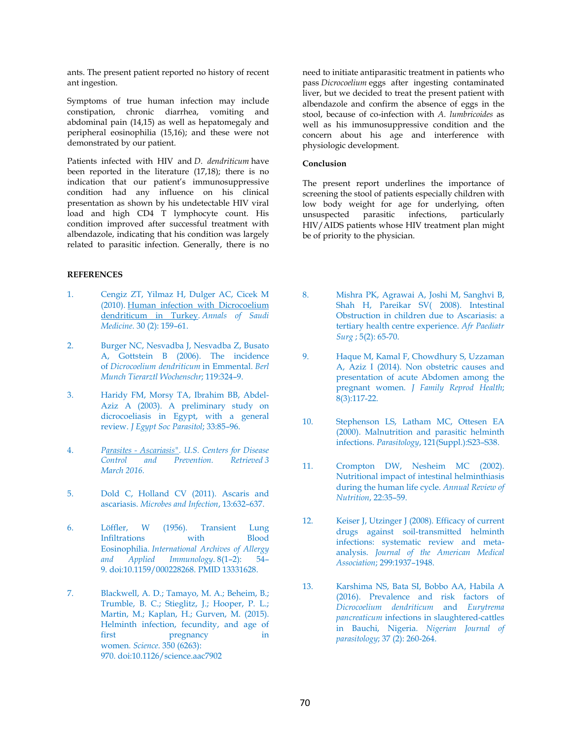ants. The present patient reported no history of recent ant ingestion.

Symptoms of true human infection may include constipation, chronic diarrhea, vomiting and abdominal pain (14,15) as well as hepatomegaly and peripheral eosinophilia (15,16); and these were not demonstrated by our patient.

Patients infected with HIV and *D. dendriticum* have been reported in the literature (17,18); there is no indication that our patient's immunosuppressive condition had any influence on his clinical presentation as shown by his undetectable HIV viral load and high CD4 T lymphocyte count. His condition improved after successful treatment with albendazole, indicating that his condition was largely related to parasitic infection. Generally, there is no

## **REFERENCES**

- 1. Cengiz ZT, Yilmaz H, Dulger AC, Cicek M (2010). Human infection with Dicrocoelium dendriticum in Turkey. *Annals of Saudi Medicine*. 30 (2): 159–61.
- 2. Burger NC, Nesvadba J, Nesvadba Z, Busato A, Gottstein B (2006). The incidence of *Dicrocoelium dendriticum* in Emmental. *Berl Munch Tierarztl Wochenschr*; 119:324–9.
- 3. Haridy FM, Morsy TA, Ibrahim BB, Abdel-Aziz A (2003). A preliminary study on dicrocoeliasis in Egypt, with a general review. *J Egypt Soc Parasitol*; 33:85–96.
- 4. *Parasites Ascariasis". U.S. Centers for Disease control and Prevention. March 2016.*
- 5. Dold C, Holland CV (2011). Ascaris and ascariasis. *Microbes and Infection*, 13:632–637.
- 6. Löffler, W (1956). Transient Lung Infiltrations with Blood Eosinophilia. *International Archives of Allergy*  and Applied Immunology.  $8(1-2)$ : 9. doi:10.1159/000228268. PMID 13331628.
- 7. Blackwell, A. D.; Tamayo, M. A.; Beheim, B.; Trumble, B. C.; Stieglitz, J.; Hooper, P. L.; Martin, M.; Kaplan, H.; Gurven, M. (2015). Helminth infection, fecundity, and age of first pregnancy in women*. Science*. 350 (6263): 970. doi:10.1126/science.aac7902

need to initiate antiparasitic treatment in patients who pass *Dicrocoelium* eggs after ingesting contaminated liver, but we decided to treat the present patient with albendazole and confirm the absence of eggs in the stool, because of co-infection with *A. lumbricoides* as well as his immunosuppressive condition and the concern about his age and interference with physiologic development.

## **Conclusion**

The present report underlines the importance of screening the stool of patients especially children with low body weight for age for underlying, often unsuspected parasitic infections, particularly HIV/AIDS patients whose HIV treatment plan might be of priority to the physician.

- 8. Mishra PK, Agrawai A, Joshi M, Sanghvi B, Shah H, Pareikar SV( 2008). Intestinal Obstruction in children due to Ascariasis: a tertiary health centre experience. *Afr Paediatr Surg* ; 5(2): 65-70.
- 9. Haque M, Kamal F, Chowdhury S, Uzzaman A, Aziz I (2014). Non obstetric causes and presentation of acute Abdomen among the pregnant women. *J Family Reprod Health*; 8(3):117-22.
- 10. Stephenson LS, Latham MC, Ottesen EA (2000). Malnutrition and parasitic helminth infections. *Parasitology*, 121(Suppl.):S23–S38.
- 11. Crompton DW, Nesheim MC (2002). Nutritional impact of intestinal helminthiasis during the human life cycle. *Annual Review of Nutrition*, 22:35–59.
- 12. Keiser J, Utzinger J (2008). Efficacy of current drugs against soil-transmitted helminth infections: systematic review and metaanalysis. *Journal of the American Medical Association*; 299:1937–1948.
- 13. Karshima NS, Bata SI, Bobbo AA, Habila A (2016). Prevalence and risk factors of *Dicrocoelium dendriticum* and *Eurytrema pancreaticum* infections in slaughtered-cattles in Bauchi, Nigeria. *Nigerian Journal of parasitology*; 37 (2): 260-264.